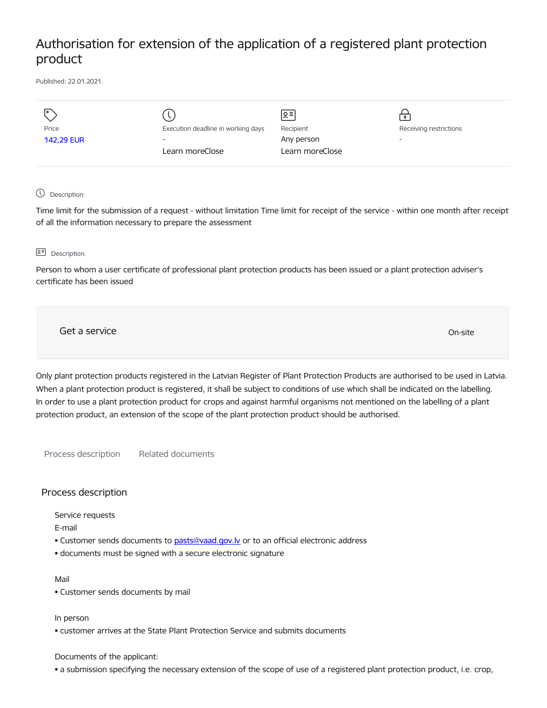# Authorisation for extension of the application of a registered plant protection product

Published: 22.01.2021.

| $\overline{1}$    |                                    | ∣ছ≣∣            | $\bullet$                |
|-------------------|------------------------------------|-----------------|--------------------------|
| Price             | Execution deadline in working days | Recipient       | Receiving restrictions   |
| <b>142,29 EUR</b> | $\overline{\phantom{0}}$           | Any person      | $\overline{\phantom{a}}$ |
|                   | Learn moreClose                    | Learn moreClose |                          |
|                   |                                    |                 |                          |

## Description:

Time limit for the submission of a request - without limitation Time limit for receipt of the service - within one month after receipt of all the information necessary to prepare the assessment

#### **B<sup>=</sup>** Description:

Person to whom a user certificate of professional plant protection products has been issued or a plant protection adviser's certificate has been issued

Get a service only a structure of the contract of the contract of the contract of the contract of the contract of the contract of the contract of the contract of the contract of the contract of the contract of the contract

Only plant protection products registered in the Latvian Register of Plant Protection Products are authorised to be used in Latvia. When a plant protection product is registered, it shall be subject to conditions of use which shall be indicated on the labelling. In order to use a plant protection product for crops and against harmful organisms not mentioned on the labelling of a plant protection product, an extension of the scope of the plant protection product should be authorised.

Process description Related documents

### Process description

Service requests

E-mail

- Customer sends documents to [pasts@vaad.gov.lv](mailto:pasts@vaad.gov.lv) or to an official electronic address
- documents must be signed with a secure electronic signature

### Mail

• Customer sends documents by mail

In person

• customer arrives at the State Plant Protection Service and submits documents

### Documents of the applicant:

• a submission specifying the necessary extension of the scope of use of a registered plant protection product, i.e. crop,